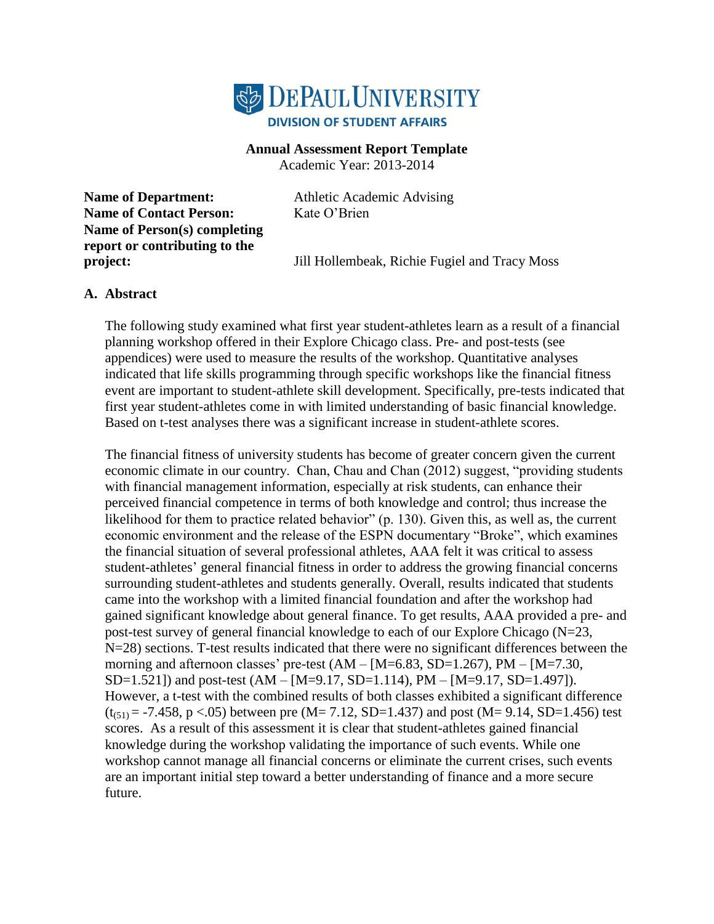

**Annual Assessment Report Template**

Academic Year: 2013-2014

**Name of Department:** Athletic Academic Advising **Name of Contact Person:** Kate O'Brien **Name of Person(s) completing report or contributing to the** 

**project:** Jill Hollembeak, Richie Fugiel and Tracy Moss

### **A. Abstract**

The following study examined what first year student-athletes learn as a result of a financial planning workshop offered in their Explore Chicago class. Pre- and post-tests (see appendices) were used to measure the results of the workshop. Quantitative analyses indicated that life skills programming through specific workshops like the financial fitness event are important to student-athlete skill development. Specifically, pre-tests indicated that first year student-athletes come in with limited understanding of basic financial knowledge. Based on t-test analyses there was a significant increase in student-athlete scores.

The financial fitness of university students has become of greater concern given the current economic climate in our country. Chan, Chau and Chan (2012) suggest, "providing students with financial management information, especially at risk students, can enhance their perceived financial competence in terms of both knowledge and control; thus increase the likelihood for them to practice related behavior" (p. 130). Given this, as well as, the current economic environment and the release of the ESPN documentary "Broke", which examines the financial situation of several professional athletes, AAA felt it was critical to assess student-athletes' general financial fitness in order to address the growing financial concerns surrounding student-athletes and students generally. Overall, results indicated that students came into the workshop with a limited financial foundation and after the workshop had gained significant knowledge about general finance. To get results, AAA provided a pre- and post-test survey of general financial knowledge to each of our Explore Chicago (N=23, N=28) sections. T-test results indicated that there were no significant differences between the morning and afternoon classes' pre-test  $(AM - [M=6.83, SD=1.267), PM - [M=7.30,$  $SD=1.521$ ]) and post-test (AM – [M=9.17, SD=1.114), PM – [M=9.17, SD=1.497]). However, a t-test with the combined results of both classes exhibited a significant difference  $(t_{(51)} = -7.458, p < .05)$  between pre (M= 7.12, SD=1.437) and post (M= 9.14, SD=1.456) test scores. As a result of this assessment it is clear that student-athletes gained financial knowledge during the workshop validating the importance of such events. While one workshop cannot manage all financial concerns or eliminate the current crises, such events are an important initial step toward a better understanding of finance and a more secure future.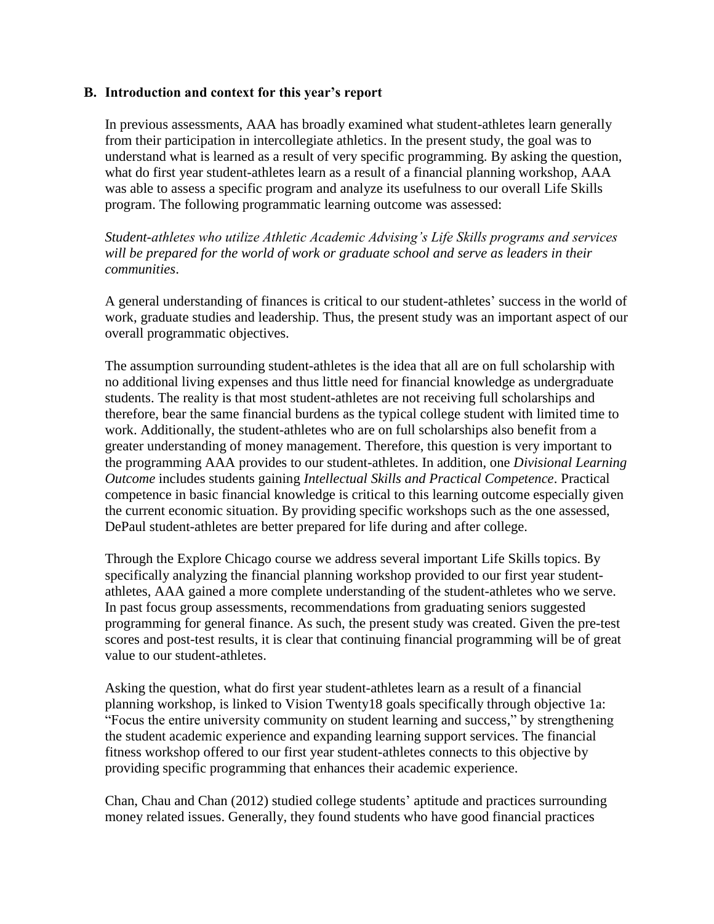#### **B. Introduction and context for this year's report**

In previous assessments, AAA has broadly examined what student-athletes learn generally from their participation in intercollegiate athletics. In the present study, the goal was to understand what is learned as a result of very specific programming. By asking the question, what do first year student-athletes learn as a result of a financial planning workshop, AAA was able to assess a specific program and analyze its usefulness to our overall Life Skills program. The following programmatic learning outcome was assessed:

*Student-athletes who utilize Athletic Academic Advising's Life Skills programs and services will be prepared for the world of work or graduate school and serve as leaders in their communities*.

A general understanding of finances is critical to our student-athletes' success in the world of work, graduate studies and leadership. Thus, the present study was an important aspect of our overall programmatic objectives.

The assumption surrounding student-athletes is the idea that all are on full scholarship with no additional living expenses and thus little need for financial knowledge as undergraduate students. The reality is that most student-athletes are not receiving full scholarships and therefore, bear the same financial burdens as the typical college student with limited time to work. Additionally, the student-athletes who are on full scholarships also benefit from a greater understanding of money management. Therefore, this question is very important to the programming AAA provides to our student-athletes. In addition, one *Divisional Learning Outcome* includes students gaining *Intellectual Skills and Practical Competence*. Practical competence in basic financial knowledge is critical to this learning outcome especially given the current economic situation. By providing specific workshops such as the one assessed, DePaul student-athletes are better prepared for life during and after college.

Through the Explore Chicago course we address several important Life Skills topics. By specifically analyzing the financial planning workshop provided to our first year studentathletes, AAA gained a more complete understanding of the student-athletes who we serve. In past focus group assessments, recommendations from graduating seniors suggested programming for general finance. As such, the present study was created. Given the pre-test scores and post-test results, it is clear that continuing financial programming will be of great value to our student-athletes.

Asking the question, what do first year student-athletes learn as a result of a financial planning workshop, is linked to Vision Twenty18 goals specifically through objective 1a: "Focus the entire university community on student learning and success," by strengthening the student academic experience and expanding learning support services. The financial fitness workshop offered to our first year student-athletes connects to this objective by providing specific programming that enhances their academic experience.

Chan, Chau and Chan (2012) studied college students' aptitude and practices surrounding money related issues. Generally, they found students who have good financial practices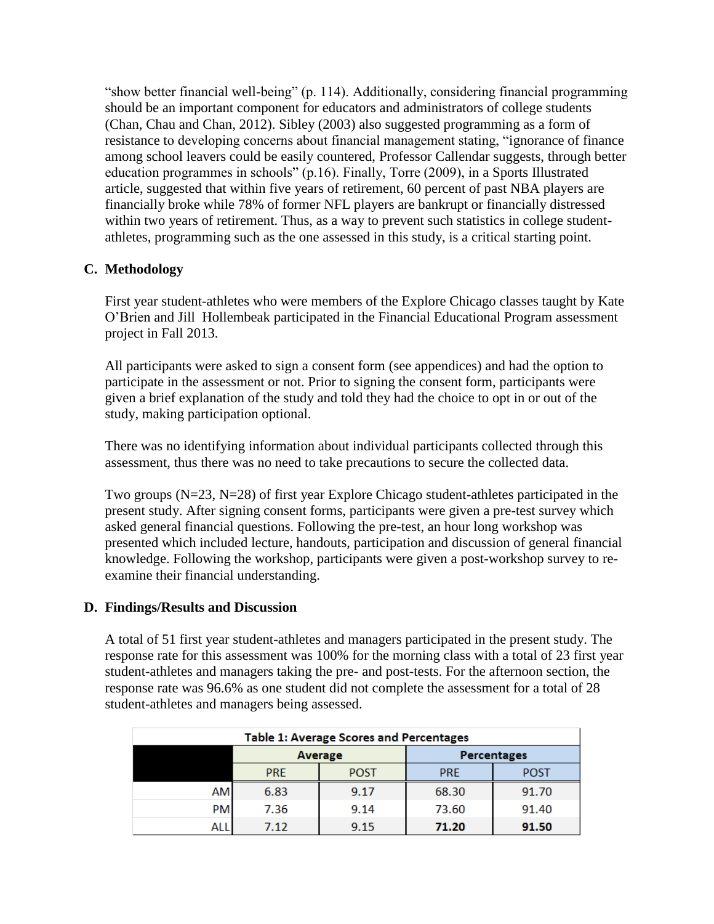"show better financial well-being" (p. 114). Additionally, considering financial programming should be an important component for educators and administrators of college students (Chan, Chau and Chan, 2012). Sibley (2003) also suggested programming as a form of resistance to developing concerns about financial management stating, "ignorance of finance among school leavers could be easily countered, Professor Callendar suggests, through better education programmes in schools" (p.16). Finally, Torre (2009), in a Sports Illustrated article, suggested that within five years of retirement, 60 percent of past NBA players are financially broke while 78% of former NFL players are bankrupt or financially distressed within two years of retirement. Thus, as a way to prevent such statistics in college studentathletes, programming such as the one assessed in this study, is a critical starting point.

# **C. Methodology**

First year student-athletes who were members of the Explore Chicago classes taught by Kate O'Brien and Jill Hollembeak participated in the Financial Educational Program assessment project in Fall 2013.

All participants were asked to sign a consent form (see appendices) and had the option to participate in the assessment or not. Prior to signing the consent form, participants were given a brief explanation of the study and told they had the choice to opt in or out of the study, making participation optional.

There was no identifying information about individual participants collected through this assessment, thus there was no need to take precautions to secure the collected data.

Two groups (N=23, N=28) of first year Explore Chicago student-athletes participated in the present study. After signing consent forms, participants were given a pre-test survey which asked general financial questions. Following the pre-test, an hour long workshop was presented which included lecture, handouts, participation and discussion of general financial knowledge. Following the workshop, participants were given a post-workshop survey to reexamine their financial understanding.

## **D. Findings/Results and Discussion**

A total of 51 first year student-athletes and managers participated in the present study. The response rate for this assessment was 100% for the morning class with a total of 23 first year student-athletes and managers taking the pre- and post-tests. For the afternoon section, the response rate was 96.6% as one student did not complete the assessment for a total of 28 student-athletes and managers being assessed.

| <b>Table 1: Average Scores and Percentages</b> |                |             |                    |             |  |  |  |  |
|------------------------------------------------|----------------|-------------|--------------------|-------------|--|--|--|--|
|                                                | <b>Average</b> |             | <b>Percentages</b> |             |  |  |  |  |
|                                                | <b>PRE</b>     | <b>POST</b> | <b>PRE</b>         | <b>POST</b> |  |  |  |  |
| AM                                             | 6.83           | 9.17        | 68.30              | 91.70       |  |  |  |  |
| PM                                             | 7.36           | 9.14        | 73.60              | 91.40       |  |  |  |  |
| ALL                                            | 7.12           | 9.15        | 71.20              | 91.50       |  |  |  |  |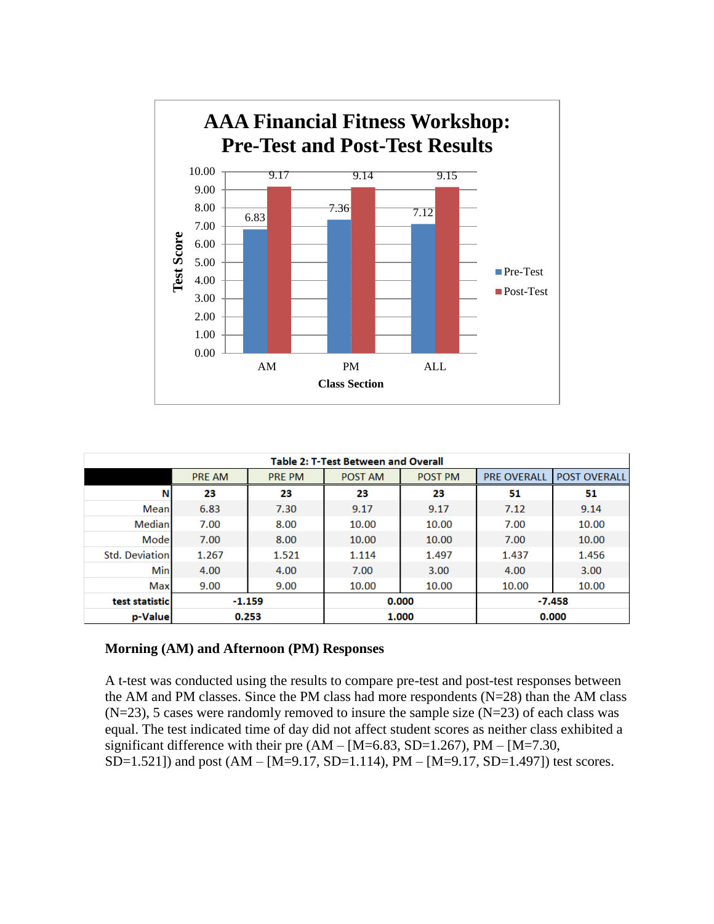

| <b>Table 2: T-Test Between and Overall</b> |               |               |         |                |                    |                     |  |  |
|--------------------------------------------|---------------|---------------|---------|----------------|--------------------|---------------------|--|--|
|                                            | <b>PRE AM</b> | <b>PRE PM</b> | POST AM | <b>POST PM</b> | <b>PRE OVERALL</b> | <b>POST OVERALL</b> |  |  |
| N                                          | 23            | 23            | 23      | 23             | 51                 | 51                  |  |  |
| Meanl                                      | 6.83          | 7.30          | 9.17    | 9.17           | 7.12               | 9.14                |  |  |
| <b>Median</b>                              | 7.00          | 8.00          | 10.00   | 10.00          | 7.00               | 10.00               |  |  |
| Model                                      | 7.00          | 8.00          | 10.00   | 10.00          | 7.00               | 10.00               |  |  |
| <b>Std. Deviation</b>                      | 1.267         | 1.521         | 1.114   | 1.497          | 1.437              | 1.456               |  |  |
| Min                                        | 4.00          | 4.00          | 7.00    | 3.00           | 4.00               | 3.00                |  |  |
| Max                                        | 9.00          | 9.00          | 10.00   | 10.00          | 10.00              | 10.00               |  |  |
| test statistic                             | $-1.159$      |               | 0.000   |                | $-7.458$           |                     |  |  |
| p-Value                                    | 0.253         |               | 1.000   |                | 0.000              |                     |  |  |

#### **Morning (AM) and Afternoon (PM) Responses**

A t-test was conducted using the results to compare pre-test and post-test responses between the AM and PM classes. Since the PM class had more respondents  $(N=28)$  than the AM class  $(N=23)$ , 5 cases were randomly removed to insure the sample size  $(N=23)$  of each class was equal. The test indicated time of day did not affect student scores as neither class exhibited a significant difference with their pre  $(AM - [M=6.83, SD=1.267), PM - [M=7.30,$ SD=1.521]) and post  $(AM - [M=9.17, SD=1.114), PM - [M=9.17, SD=1.497])$  test scores.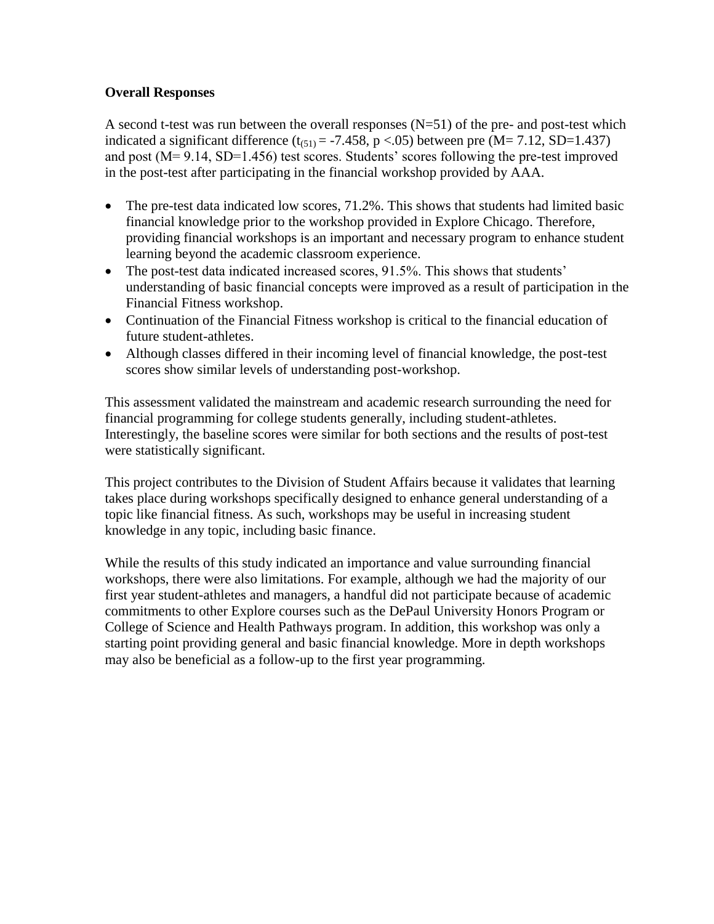### **Overall Responses**

A second t-test was run between the overall responses  $(N=51)$  of the pre- and post-test which indicated a significant difference  $(t_{(51)} = -7.458, p < .05)$  between pre  $(M = 7.12, SD = 1.437)$ and post (M= 9.14, SD=1.456) test scores. Students' scores following the pre-test improved in the post-test after participating in the financial workshop provided by AAA.

- The pre-test data indicated low scores, 71.2%. This shows that students had limited basic financial knowledge prior to the workshop provided in Explore Chicago. Therefore, providing financial workshops is an important and necessary program to enhance student learning beyond the academic classroom experience.
- The post-test data indicated increased scores, 91.5%. This shows that students' understanding of basic financial concepts were improved as a result of participation in the Financial Fitness workshop.
- Continuation of the Financial Fitness workshop is critical to the financial education of future student-athletes.
- Although classes differed in their incoming level of financial knowledge, the post-test scores show similar levels of understanding post-workshop.

This assessment validated the mainstream and academic research surrounding the need for financial programming for college students generally, including student-athletes. Interestingly, the baseline scores were similar for both sections and the results of post-test were statistically significant.

This project contributes to the Division of Student Affairs because it validates that learning takes place during workshops specifically designed to enhance general understanding of a topic like financial fitness. As such, workshops may be useful in increasing student knowledge in any topic, including basic finance.

While the results of this study indicated an importance and value surrounding financial workshops, there were also limitations. For example, although we had the majority of our first year student-athletes and managers, a handful did not participate because of academic commitments to other Explore courses such as the DePaul University Honors Program or College of Science and Health Pathways program. In addition, this workshop was only a starting point providing general and basic financial knowledge. More in depth workshops may also be beneficial as a follow-up to the first year programming.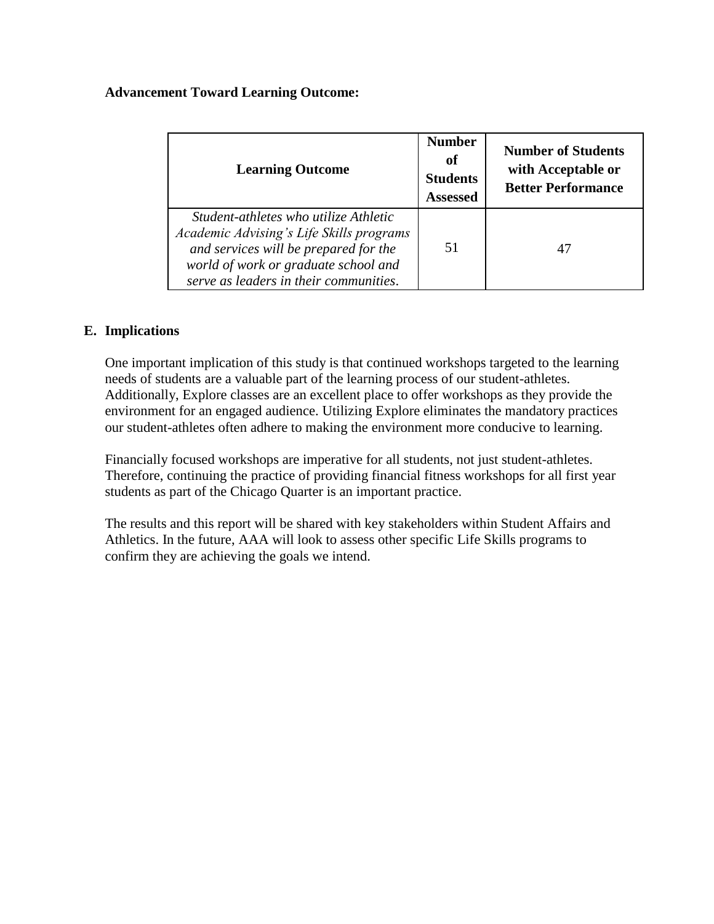### **Advancement Toward Learning Outcome:**

| <b>Learning Outcome</b>                                                                                                                                                                                      | <b>Number</b><br>of<br><b>Students</b><br><b>Assessed</b> | <b>Number of Students</b><br>with Acceptable or<br><b>Better Performance</b> |  |
|--------------------------------------------------------------------------------------------------------------------------------------------------------------------------------------------------------------|-----------------------------------------------------------|------------------------------------------------------------------------------|--|
| Student-athletes who utilize Athletic<br>Academic Advising's Life Skills programs<br>and services will be prepared for the<br>world of work or graduate school and<br>serve as leaders in their communities. | 51                                                        | 47                                                                           |  |

## **E. Implications**

One important implication of this study is that continued workshops targeted to the learning needs of students are a valuable part of the learning process of our student-athletes. Additionally, Explore classes are an excellent place to offer workshops as they provide the environment for an engaged audience. Utilizing Explore eliminates the mandatory practices our student-athletes often adhere to making the environment more conducive to learning.

Financially focused workshops are imperative for all students, not just student-athletes. Therefore, continuing the practice of providing financial fitness workshops for all first year students as part of the Chicago Quarter is an important practice.

The results and this report will be shared with key stakeholders within Student Affairs and Athletics. In the future, AAA will look to assess other specific Life Skills programs to confirm they are achieving the goals we intend.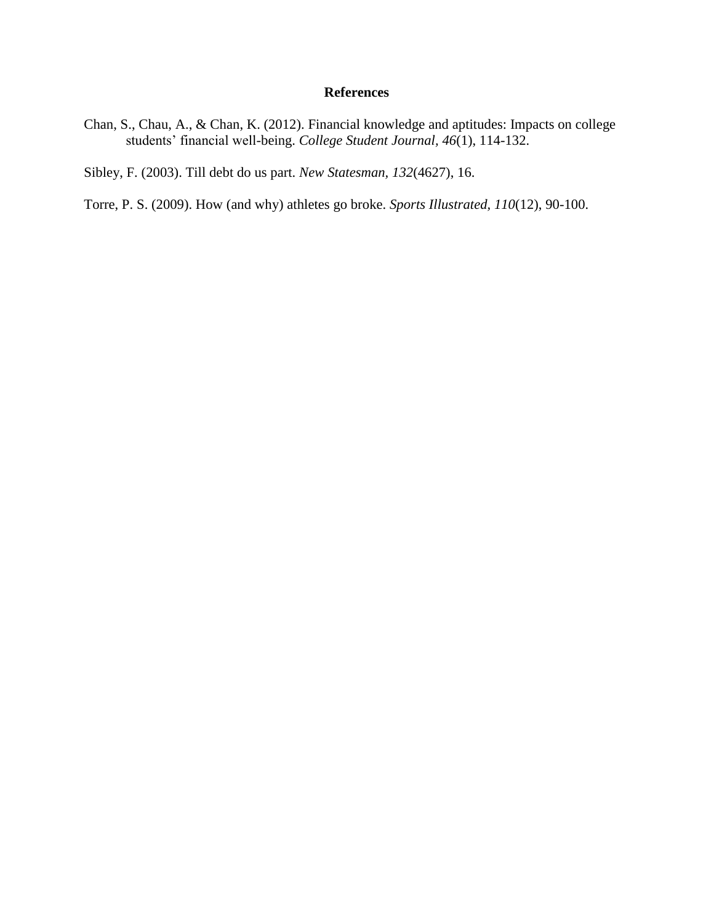# **References**

Chan, S., Chau, A., & Chan, K. (2012). Financial knowledge and aptitudes: Impacts on college students' financial well-being. *College Student Journal, 46*(1), 114-132.

Sibley, F. (2003). Till debt do us part. *New Statesman, 132*(4627), 16.

Torre, P. S. (2009). How (and why) athletes go broke. *Sports Illustrated, 110*(12), 90-100.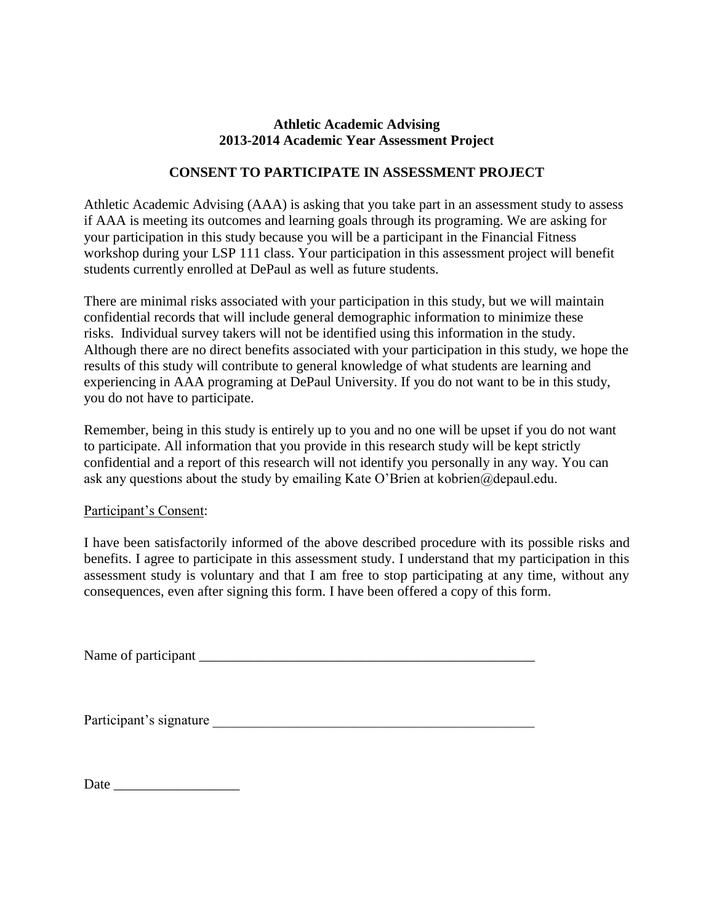### **Athletic Academic Advising 2013-2014 Academic Year Assessment Project**

# **CONSENT TO PARTICIPATE IN ASSESSMENT PROJECT**

Athletic Academic Advising (AAA) is asking that you take part in an assessment study to assess if AAA is meeting its outcomes and learning goals through its programing. We are asking for your participation in this study because you will be a participant in the Financial Fitness workshop during your LSP 111 class. Your participation in this assessment project will benefit students currently enrolled at DePaul as well as future students.

There are minimal risks associated with your participation in this study, but we will maintain confidential records that will include general demographic information to minimize these risks. Individual survey takers will not be identified using this information in the study. Although there are no direct benefits associated with your participation in this study, we hope the results of this study will contribute to general knowledge of what students are learning and experiencing in AAA programing at DePaul University. If you do not want to be in this study, you do not have to participate.

Remember, being in this study is entirely up to you and no one will be upset if you do not want to participate. All information that you provide in this research study will be kept strictly confidential and a report of this research will not identify you personally in any way. You can ask any questions about the study by emailing Kate O'Brien at kobrien@depaul.edu.

Participant's Consent:

I have been satisfactorily informed of the above described procedure with its possible risks and benefits. I agree to participate in this assessment study. I understand that my participation in this assessment study is voluntary and that I am free to stop participating at any time, without any consequences, even after signing this form. I have been offered a copy of this form.

Name of participant \_\_\_\_\_\_\_\_\_\_\_\_\_\_\_\_\_\_\_\_\_\_\_\_\_\_\_\_\_\_\_\_\_\_\_\_\_\_\_\_\_\_\_\_\_\_\_\_

Participant's signature

Date \_\_\_\_\_\_\_\_\_\_\_\_\_\_\_\_\_\_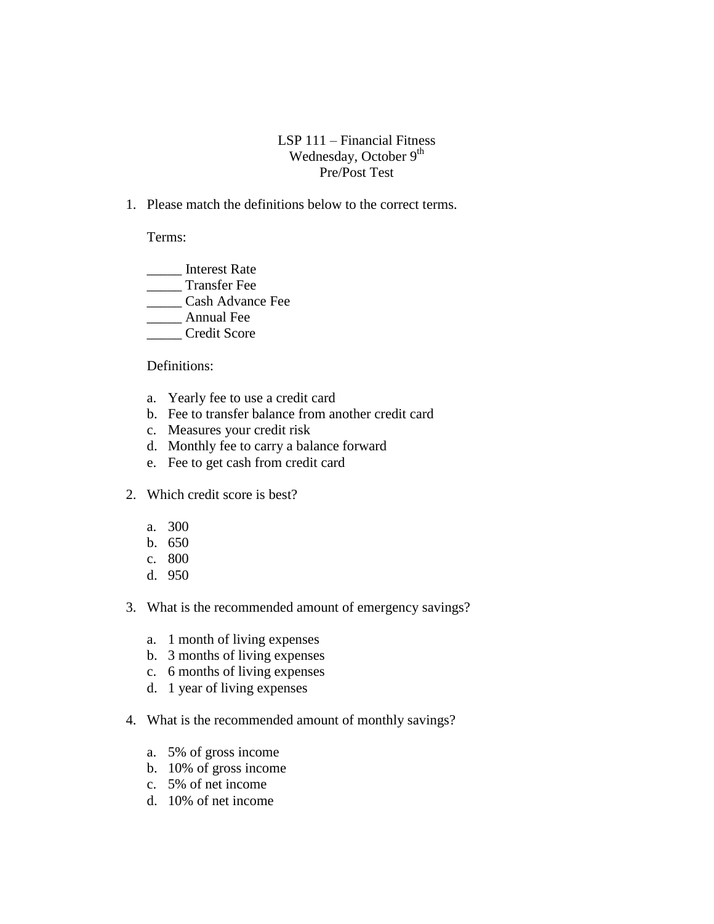#### LSP 111 – Financial Fitness Wednesday, October  $9<sup>th</sup>$ Pre/Post Test

1. Please match the definitions below to the correct terms.

Terms:

- \_\_\_\_\_ Interest Rate
- \_\_\_\_\_ Transfer Fee
- \_\_\_\_\_ Cash Advance Fee
- \_\_\_\_\_ Annual Fee
- \_\_\_\_\_ Credit Score

Definitions:

- a. Yearly fee to use a credit card
- b. Fee to transfer balance from another credit card
- c. Measures your credit risk
- d. Monthly fee to carry a balance forward
- e. Fee to get cash from credit card
- 2. Which credit score is best?
	- a. 300
	- b. 650
	- c. 800
	- d. 950
- 3. What is the recommended amount of emergency savings?
	- a. 1 month of living expenses
	- b. 3 months of living expenses
	- c. 6 months of living expenses
	- d. 1 year of living expenses
- 4. What is the recommended amount of monthly savings?
	- a. 5% of gross income
	- b. 10% of gross income
	- c. 5% of net income
	- d. 10% of net income